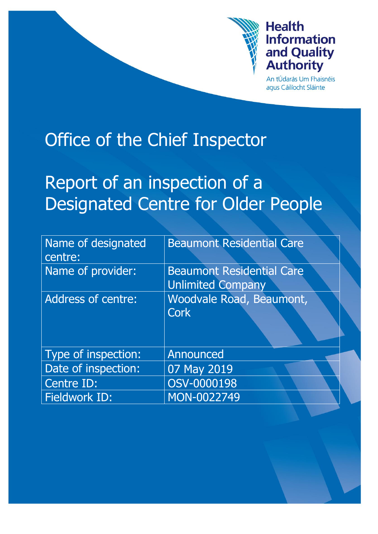

# **Health Information** and Quality **Authority**

An tÚdarás Um Fhaisnéis aqus Cáilíocht Sláinte

# Office of the Chief Inspector

# Report of an inspection of a Designated Centre for Older People

| Name of designated<br>centre: | <b>Beaumont Residential Care</b>                             |
|-------------------------------|--------------------------------------------------------------|
| Name of provider:             | <b>Beaumont Residential Care</b><br><b>Unlimited Company</b> |
| Address of centre:            | Woodvale Road, Beaumont,<br><b>Cork</b>                      |
| Type of inspection:           | Announced                                                    |
| Date of inspection:           | 07 May 2019                                                  |
| Centre ID:                    | OSV-0000198                                                  |
| Fieldwork ID:                 | MON-0022749                                                  |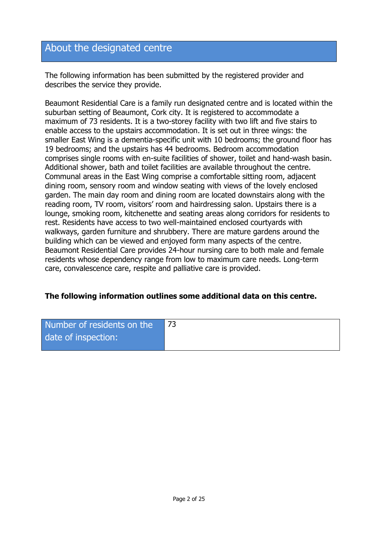# About the designated centre

The following information has been submitted by the registered provider and describes the service they provide.

Beaumont Residential Care is a family run designated centre and is located within the suburban setting of Beaumont, Cork city. It is registered to accommodate a maximum of 73 residents. It is a two-storey facility with two lift and five stairs to enable access to the upstairs accommodation. It is set out in three wings: the smaller East Wing is a dementia-specific unit with 10 bedrooms; the ground floor has 19 bedrooms; and the upstairs has 44 bedrooms. Bedroom accommodation comprises single rooms with en-suite facilities of shower, toilet and hand-wash basin. Additional shower, bath and toilet facilities are available throughout the centre. Communal areas in the East Wing comprise a comfortable sitting room, adjacent dining room, sensory room and window seating with views of the lovely enclosed garden. The main day room and dining room are located downstairs along with the reading room, TV room, visitors' room and hairdressing salon. Upstairs there is a lounge, smoking room, kitchenette and seating areas along corridors for residents to rest. Residents have access to two well-maintained enclosed courtyards with walkways, garden furniture and shrubbery. There are mature gardens around the building which can be viewed and enjoyed form many aspects of the centre. Beaumont Residential Care provides 24-hour nursing care to both male and female residents whose dependency range from low to maximum care needs. Long-term care, convalescence care, respite and palliative care is provided.

#### **The following information outlines some additional data on this centre.**

| Number of residents on the |  |
|----------------------------|--|
| date of inspection:        |  |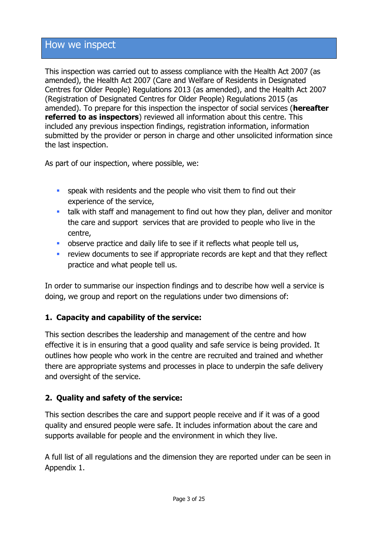## How we inspect

This inspection was carried out to assess compliance with the Health Act 2007 (as amended), the Health Act 2007 (Care and Welfare of Residents in Designated Centres for Older People) Regulations 2013 (as amended), and the Health Act 2007 (Registration of Designated Centres for Older People) Regulations 2015 (as amended). To prepare for this inspection the inspector of social services (**hereafter referred to as inspectors**) reviewed all information about this centre. This included any previous inspection findings, registration information, information submitted by the provider or person in charge and other unsolicited information since the last inspection.

As part of our inspection, where possible, we:

- **speak with residents and the people who visit them to find out their** experience of the service,
- talk with staff and management to find out how they plan, deliver and monitor the care and support services that are provided to people who live in the centre,
- **•** observe practice and daily life to see if it reflects what people tell us,
- **F** review documents to see if appropriate records are kept and that they reflect practice and what people tell us.

In order to summarise our inspection findings and to describe how well a service is doing, we group and report on the regulations under two dimensions of:

#### **1. Capacity and capability of the service:**

This section describes the leadership and management of the centre and how effective it is in ensuring that a good quality and safe service is being provided. It outlines how people who work in the centre are recruited and trained and whether there are appropriate systems and processes in place to underpin the safe delivery and oversight of the service.

#### **2. Quality and safety of the service:**

This section describes the care and support people receive and if it was of a good quality and ensured people were safe. It includes information about the care and supports available for people and the environment in which they live.

A full list of all regulations and the dimension they are reported under can be seen in Appendix 1.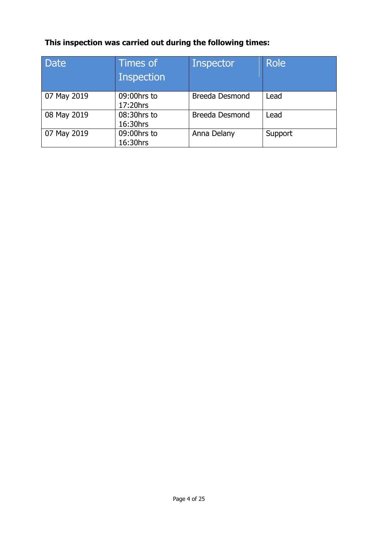# **This inspection was carried out during the following times:**

| <b>Date</b> | Times of<br><b>Inspection</b> | Inspector             | <b>Role</b> |
|-------------|-------------------------------|-----------------------|-------------|
| 07 May 2019 | 09:00hrs to<br>17:20hrs       | <b>Breeda Desmond</b> | Lead        |
| 08 May 2019 | 08:30hrs to<br>16:30hrs       | <b>Breeda Desmond</b> | Lead        |
| 07 May 2019 | 09:00hrs to<br>16:30hrs       | Anna Delany           | Support     |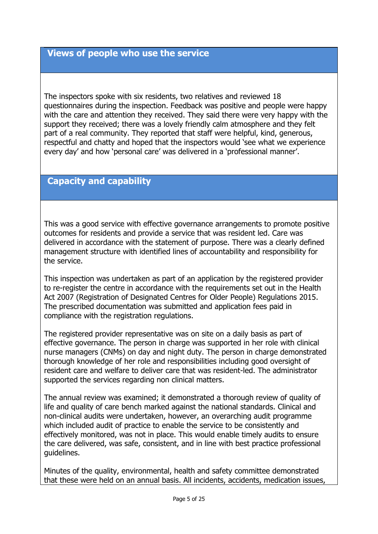# **Views of people who use the service**

The inspectors spoke with six residents, two relatives and reviewed 18 questionnaires during the inspection. Feedback was positive and people were happy with the care and attention they received. They said there were very happy with the support they received; there was a lovely friendly calm atmosphere and they felt part of a real community. They reported that staff were helpful, kind, generous, respectful and chatty and hoped that the inspectors would 'see what we experience every day' and how 'personal care' was delivered in a 'professional manner'.

## **Capacity and capability**

This was a good service with effective governance arrangements to promote positive outcomes for residents and provide a service that was resident led. Care was delivered in accordance with the statement of purpose. There was a clearly defined management structure with identified lines of accountability and responsibility for the service.

This inspection was undertaken as part of an application by the registered provider to re-register the centre in accordance with the requirements set out in the Health Act 2007 (Registration of Designated Centres for Older People) Regulations 2015. The prescribed documentation was submitted and application fees paid in compliance with the registration regulations.

The registered provider representative was on site on a daily basis as part of effective governance. The person in charge was supported in her role with clinical nurse managers (CNMs) on day and night duty. The person in charge demonstrated thorough knowledge of her role and responsibilities including good oversight of resident care and welfare to deliver care that was resident-led. The administrator supported the services regarding non clinical matters.

The annual review was examined; it demonstrated a thorough review of quality of life and quality of care bench marked against the national standards. Clinical and non-clinical audits were undertaken, however, an overarching audit programme which included audit of practice to enable the service to be consistently and effectively monitored, was not in place. This would enable timely audits to ensure the care delivered, was safe, consistent, and in line with best practice professional guidelines.

Minutes of the quality, environmental, health and safety committee demonstrated that these were held on an annual basis. All incidents, accidents, medication issues,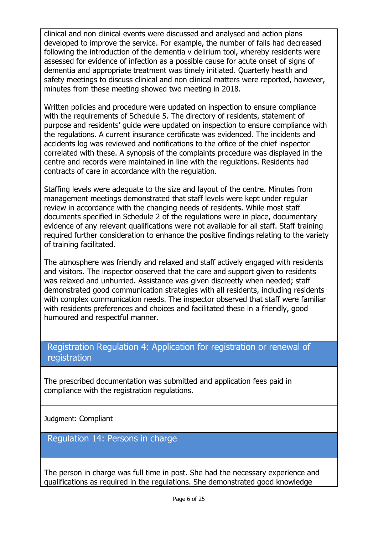clinical and non clinical events were discussed and analysed and action plans developed to improve the service. For example, the number of falls had decreased following the introduction of the dementia v delirium tool, whereby residents were assessed for evidence of infection as a possible cause for acute onset of signs of dementia and appropriate treatment was timely initiated. Quarterly health and safety meetings to discuss clinical and non clinical matters were reported, however, minutes from these meeting showed two meeting in 2018.

Written policies and procedure were updated on inspection to ensure compliance with the requirements of Schedule 5. The directory of residents, statement of purpose and residents' guide were updated on inspection to ensure compliance with the regulations. A current insurance certificate was evidenced. The incidents and accidents log was reviewed and notifications to the office of the chief inspector correlated with these. A synopsis of the complaints procedure was displayed in the centre and records were maintained in line with the regulations. Residents had contracts of care in accordance with the regulation.

Staffing levels were adequate to the size and layout of the centre. Minutes from management meetings demonstrated that staff levels were kept under regular review in accordance with the changing needs of residents. While most staff documents specified in Schedule 2 of the regulations were in place, documentary evidence of any relevant qualifications were not available for all staff. Staff training required further consideration to enhance the positive findings relating to the variety of training facilitated.

The atmosphere was friendly and relaxed and staff actively engaged with residents and visitors. The inspector observed that the care and support given to residents was relaxed and unhurried. Assistance was given discreetly when needed; staff demonstrated good communication strategies with all residents, including residents with complex communication needs. The inspector observed that staff were familiar with residents preferences and choices and facilitated these in a friendly, good humoured and respectful manner.

## Registration Regulation 4: Application for registration or renewal of registration

The prescribed documentation was submitted and application fees paid in compliance with the registration regulations.

Judgment: Compliant

Regulation 14: Persons in charge

The person in charge was full time in post. She had the necessary experience and qualifications as required in the regulations. She demonstrated good knowledge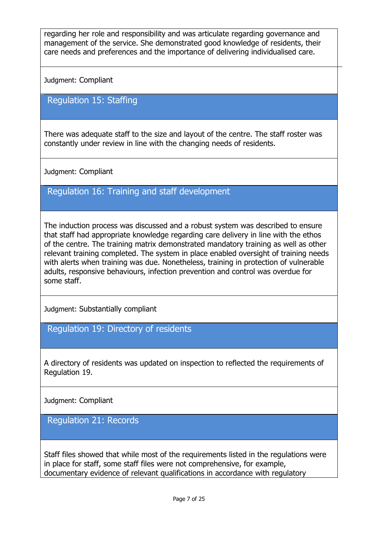regarding her role and responsibility and was articulate regarding governance and management of the service. She demonstrated good knowledge of residents, their care needs and preferences and the importance of delivering individualised care.

Judgment: Compliant

### Regulation 15: Staffing

There was adequate staff to the size and layout of the centre. The staff roster was constantly under review in line with the changing needs of residents.

Judgment: Compliant

#### Regulation 16: Training and staff development

The induction process was discussed and a robust system was described to ensure that staff had appropriate knowledge regarding care delivery in line with the ethos of the centre. The training matrix demonstrated mandatory training as well as other relevant training completed. The system in place enabled oversight of training needs with alerts when training was due. Nonetheless, training in protection of vulnerable adults, responsive behaviours, infection prevention and control was overdue for some staff.

Judgment: Substantially compliant

Regulation 19: Directory of residents

A directory of residents was updated on inspection to reflected the requirements of Regulation 19.

Judgment: Compliant

Regulation 21: Records

Staff files showed that while most of the requirements listed in the regulations were in place for staff, some staff files were not comprehensive, for example, documentary evidence of relevant qualifications in accordance with regulatory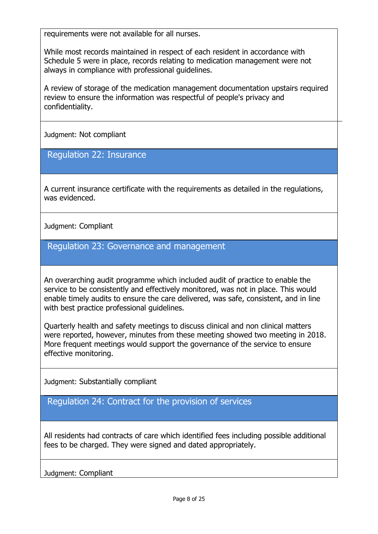requirements were not available for all nurses.

While most records maintained in respect of each resident in accordance with Schedule 5 were in place, records relating to medication management were not always in compliance with professional guidelines.

A review of storage of the medication management documentation upstairs required review to ensure the information was respectful of people's privacy and confidentiality.

Judgment: Not compliant

Regulation 22: Insurance

A current insurance certificate with the requirements as detailed in the regulations, was evidenced.

Judgment: Compliant

Regulation 23: Governance and management

An overarching audit programme which included audit of practice to enable the service to be consistently and effectively monitored, was not in place. This would enable timely audits to ensure the care delivered, was safe, consistent, and in line with best practice professional guidelines.

Quarterly health and safety meetings to discuss clinical and non clinical matters were reported, however, minutes from these meeting showed two meeting in 2018. More frequent meetings would support the governance of the service to ensure effective monitoring.

Judgment: Substantially compliant

Regulation 24: Contract for the provision of services

All residents had contracts of care which identified fees including possible additional fees to be charged. They were signed and dated appropriately.

Judgment: Compliant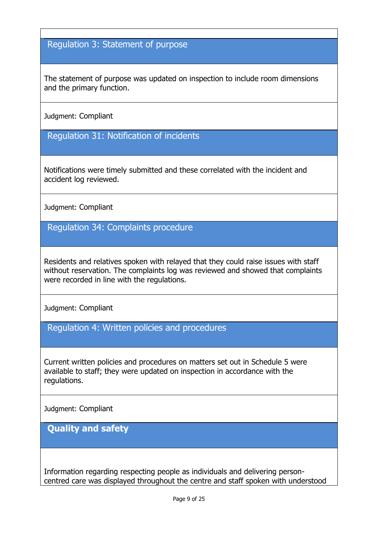# Regulation 3: Statement of purpose

The statement of purpose was updated on inspection to include room dimensions and the primary function.

Judgment: Compliant

Regulation 31: Notification of incidents

Notifications were timely submitted and these correlated with the incident and accident log reviewed.

Judgment: Compliant

Regulation 34: Complaints procedure

Residents and relatives spoken with relayed that they could raise issues with staff without reservation. The complaints log was reviewed and showed that complaints were recorded in line with the regulations.

Judgment: Compliant

Regulation 4: Written policies and procedures

Current written policies and procedures on matters set out in Schedule 5 were available to staff; they were updated on inspection in accordance with the regulations.

Judgment: Compliant

**Quality and safety**

Information regarding respecting people as individuals and delivering personcentred care was displayed throughout the centre and staff spoken with understood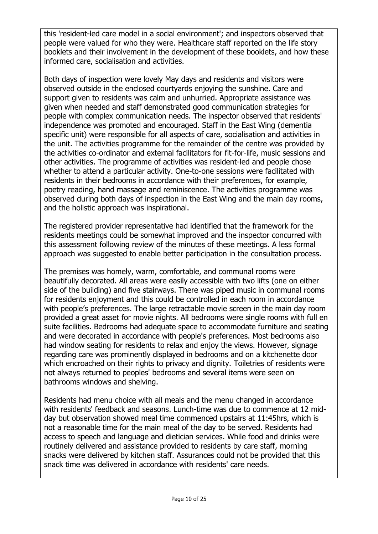this 'resident-led care model in a social environment'; and inspectors observed that people were valued for who they were. Healthcare staff reported on the life story booklets and their involvement in the development of these booklets, and how these informed care, socialisation and activities.

Both days of inspection were lovely May days and residents and visitors were observed outside in the enclosed courtyards enjoying the sunshine. Care and support given to residents was calm and unhurried. Appropriate assistance was given when needed and staff demonstrated good communication strategies for people with complex communication needs. The inspector observed that residents' independence was promoted and encouraged. Staff in the East Wing (dementia specific unit) were responsible for all aspects of care, socialisation and activities in the unit. The activities programme for the remainder of the centre was provided by the activities co-ordinator and external facilitators for fit-for-life, music sessions and other activities. The programme of activities was resident-led and people chose whether to attend a particular activity. One-to-one sessions were facilitated with residents in their bedrooms in accordance with their preferences, for example, poetry reading, hand massage and reminiscence. The activities programme was observed during both days of inspection in the East Wing and the main day rooms, and the holistic approach was inspirational.

The registered provider representative had identified that the framework for the residents meetings could be somewhat improved and the inspector concurred with this assessment following review of the minutes of these meetings. A less formal approach was suggested to enable better participation in the consultation process.

The premises was homely, warm, comfortable, and communal rooms were beautifully decorated. All areas were easily accessible with two lifts (one on either side of the building) and five stairways. There was piped music in communal rooms for residents enjoyment and this could be controlled in each room in accordance with people's preferences. The large retractable movie screen in the main day room provided a great asset for movie nights. All bedrooms were single rooms with full en suite facilities. Bedrooms had adequate space to accommodate furniture and seating and were decorated in accordance with people's preferences. Most bedrooms also had window seating for residents to relax and enjoy the views. However, signage regarding care was prominently displayed in bedrooms and on a kitchenette door which encroached on their rights to privacy and dignity. Toiletries of residents were not always returned to peoples' bedrooms and several items were seen on bathrooms windows and shelving.

Residents had menu choice with all meals and the menu changed in accordance with residents' feedback and seasons. Lunch-time was due to commence at 12 midday but observation showed meal time commenced upstairs at 11:45hrs, which is not a reasonable time for the main meal of the day to be served. Residents had access to speech and language and dietician services. While food and drinks were routinely delivered and assistance provided to residents by care staff, morning snacks were delivered by kitchen staff. Assurances could not be provided that this snack time was delivered in accordance with residents' care needs.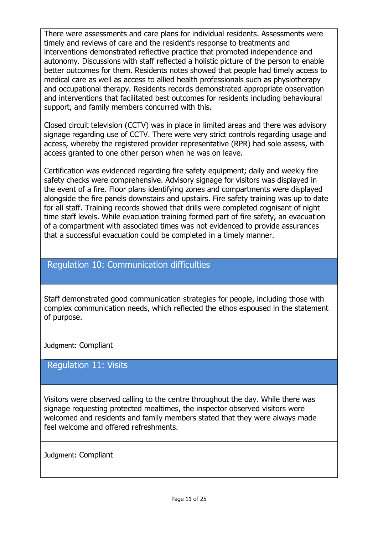There were assessments and care plans for individual residents. Assessments were timely and reviews of care and the resident's response to treatments and interventions demonstrated reflective practice that promoted independence and autonomy. Discussions with staff reflected a holistic picture of the person to enable better outcomes for them. Residents notes showed that people had timely access to medical care as well as access to allied health professionals such as physiotherapy and occupational therapy. Residents records demonstrated appropriate observation and interventions that facilitated best outcomes for residents including behavioural support, and family members concurred with this.

Closed circuit television (CCTV) was in place in limited areas and there was advisory signage regarding use of CCTV. There were very strict controls regarding usage and access, whereby the registered provider representative (RPR) had sole assess, with access granted to one other person when he was on leave.

Certification was evidenced regarding fire safety equipment; daily and weekly fire safety checks were comprehensive. Advisory signage for visitors was displayed in the event of a fire. Floor plans identifying zones and compartments were displayed alongside the fire panels downstairs and upstairs. Fire safety training was up to date for all staff. Training records showed that drills were completed cognisant of night time staff levels. While evacuation training formed part of fire safety, an evacuation of a compartment with associated times was not evidenced to provide assurances that a successful evacuation could be completed in a timely manner.

### Regulation 10: Communication difficulties

Staff demonstrated good communication strategies for people, including those with complex communication needs, which reflected the ethos espoused in the statement of purpose.

#### Judgment: Compliant

#### Regulation 11: Visits

Visitors were observed calling to the centre throughout the day. While there was signage requesting protected mealtimes, the inspector observed visitors were welcomed and residents and family members stated that they were always made feel welcome and offered refreshments.

Judgment: Compliant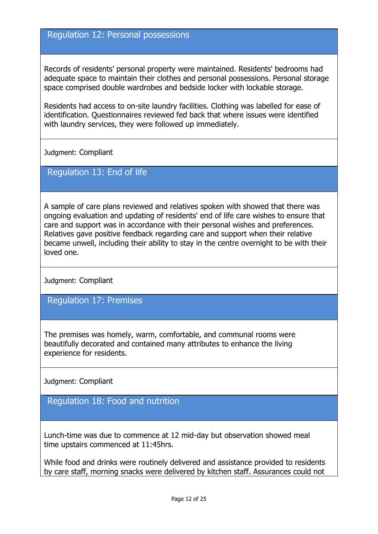#### Regulation 12: Personal possessions

Records of residents' personal property were maintained. Residents' bedrooms had adequate space to maintain their clothes and personal possessions. Personal storage space comprised double wardrobes and bedside locker with lockable storage.

Residents had access to on-site laundry facilities. Clothing was labelled for ease of identification. Questionnaires reviewed fed back that where issues were identified with laundry services, they were followed up immediately.

Judgment: Compliant

#### Regulation 13: End of life

A sample of care plans reviewed and relatives spoken with showed that there was ongoing evaluation and updating of residents' end of life care wishes to ensure that care and support was in accordance with their personal wishes and preferences. Relatives gave positive feedback regarding care and support when their relative became unwell, including their ability to stay in the centre overnight to be with their loved one.

Judgment: Compliant

Regulation 17: Premises

The premises was homely, warm, comfortable, and communal rooms were beautifully decorated and contained many attributes to enhance the living experience for residents.

Judgment: Compliant

# Regulation 18: Food and nutrition

Lunch-time was due to commence at 12 mid-day but observation showed meal time upstairs commenced at 11:45hrs.

While food and drinks were routinely delivered and assistance provided to residents by care staff, morning snacks were delivered by kitchen staff. Assurances could not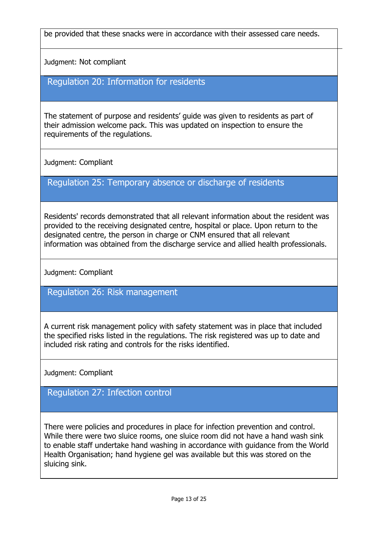be provided that these snacks were in accordance with their assessed care needs.

Judgment: Not compliant

## Regulation 20: Information for residents

The statement of purpose and residents' guide was given to residents as part of their admission welcome pack. This was updated on inspection to ensure the requirements of the regulations.

Judgment: Compliant

## Regulation 25: Temporary absence or discharge of residents

Residents' records demonstrated that all relevant information about the resident was provided to the receiving designated centre, hospital or place. Upon return to the designated centre, the person in charge or CNM ensured that all relevant information was obtained from the discharge service and allied health professionals.

Judgment: Compliant

### Regulation 26: Risk management

A current risk management policy with safety statement was in place that included the specified risks listed in the regulations. The risk registered was up to date and included risk rating and controls for the risks identified.

Judgment: Compliant

## Regulation 27: Infection control

There were policies and procedures in place for infection prevention and control. While there were two sluice rooms, one sluice room did not have a hand wash sink to enable staff undertake hand washing in accordance with guidance from the World Health Organisation; hand hygiene gel was available but this was stored on the sluicing sink.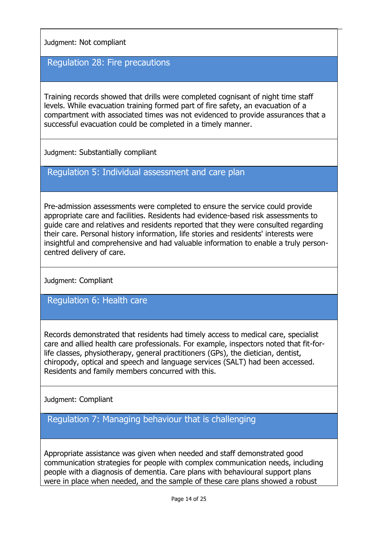Judgment: Not compliant

### Regulation 28: Fire precautions

Training records showed that drills were completed cognisant of night time staff levels. While evacuation training formed part of fire safety, an evacuation of a compartment with associated times was not evidenced to provide assurances that a successful evacuation could be completed in a timely manner.

Judgment: Substantially compliant

Regulation 5: Individual assessment and care plan

Pre-admission assessments were completed to ensure the service could provide appropriate care and facilities. Residents had evidence-based risk assessments to guide care and relatives and residents reported that they were consulted regarding their care. Personal history information, life stories and residents' interests were insightful and comprehensive and had valuable information to enable a truly personcentred delivery of care.

Judgment: Compliant

Regulation 6: Health care

Records demonstrated that residents had timely access to medical care, specialist care and allied health care professionals. For example, inspectors noted that fit-forlife classes, physiotherapy, general practitioners (GPs), the dietician, dentist, chiropody, optical and speech and language services (SALT) had been accessed. Residents and family members concurred with this.

Judgment: Compliant

Regulation 7: Managing behaviour that is challenging

Appropriate assistance was given when needed and staff demonstrated good communication strategies for people with complex communication needs, including people with a diagnosis of dementia. Care plans with behavioural support plans were in place when needed, and the sample of these care plans showed a robust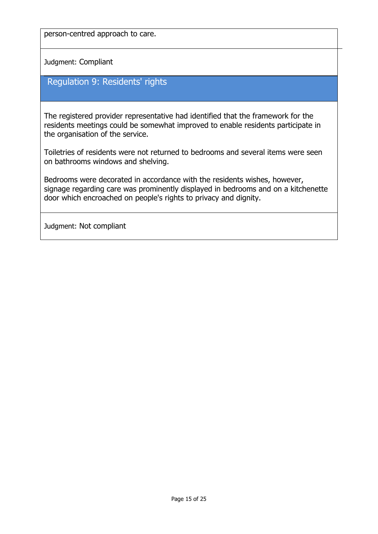person-centred approach to care.

Judgment: Compliant

## Regulation 9: Residents' rights

The registered provider representative had identified that the framework for the residents meetings could be somewhat improved to enable residents participate in the organisation of the service.

Toiletries of residents were not returned to bedrooms and several items were seen on bathrooms windows and shelving.

Bedrooms were decorated in accordance with the residents wishes, however, signage regarding care was prominently displayed in bedrooms and on a kitchenette door which encroached on people's rights to privacy and dignity.

Judgment: Not compliant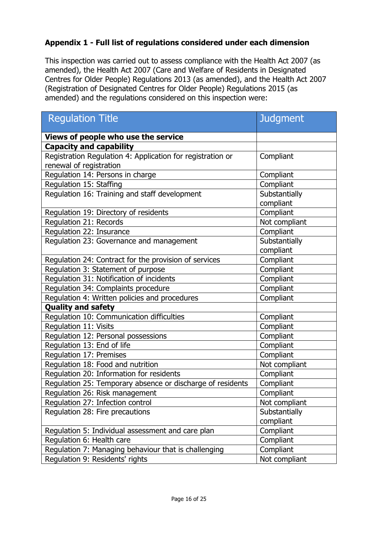#### **Appendix 1 - Full list of regulations considered under each dimension**

This inspection was carried out to assess compliance with the Health Act 2007 (as amended), the Health Act 2007 (Care and Welfare of Residents in Designated Centres for Older People) Regulations 2013 (as amended), and the Health Act 2007 (Registration of Designated Centres for Older People) Regulations 2015 (as amended) and the regulations considered on this inspection were:

| <b>Regulation Title</b>                                    | <b>Judgment</b>            |  |
|------------------------------------------------------------|----------------------------|--|
| Views of people who use the service                        |                            |  |
| <b>Capacity and capability</b>                             |                            |  |
| Registration Regulation 4: Application for registration or | Compliant                  |  |
| renewal of registration                                    |                            |  |
| Regulation 14: Persons in charge                           | Compliant                  |  |
| Regulation 15: Staffing                                    | Compliant                  |  |
| Regulation 16: Training and staff development              | Substantially<br>compliant |  |
| Regulation 19: Directory of residents                      | Compliant                  |  |
| Regulation 21: Records                                     | Not compliant              |  |
| Regulation 22: Insurance                                   | Compliant                  |  |
| Regulation 23: Governance and management                   | Substantially              |  |
|                                                            | compliant                  |  |
| Regulation 24: Contract for the provision of services      | Compliant                  |  |
| Regulation 3: Statement of purpose                         | Compliant                  |  |
| Regulation 31: Notification of incidents                   | Compliant                  |  |
| Regulation 34: Complaints procedure                        | Compliant                  |  |
| Regulation 4: Written policies and procedures              | Compliant                  |  |
| <b>Quality and safety</b>                                  |                            |  |
| Regulation 10: Communication difficulties                  | Compliant                  |  |
| Regulation 11: Visits                                      | Compliant                  |  |
| Regulation 12: Personal possessions                        | Compliant                  |  |
| Regulation 13: End of life                                 | Compliant                  |  |
| Regulation 17: Premises                                    | Compliant                  |  |
| Regulation 18: Food and nutrition                          | Not compliant              |  |
| Regulation 20: Information for residents                   | Compliant                  |  |
| Regulation 25: Temporary absence or discharge of residents | Compliant                  |  |
| Regulation 26: Risk management                             | Compliant                  |  |
| Regulation 27: Infection control                           | Not compliant              |  |
| Regulation 28: Fire precautions                            | Substantially              |  |
|                                                            | compliant                  |  |
| Regulation 5: Individual assessment and care plan          | Compliant                  |  |
| Regulation 6: Health care                                  | Compliant                  |  |
| Regulation 7: Managing behaviour that is challenging       | Compliant                  |  |
| Regulation 9: Residents' rights                            | Not compliant              |  |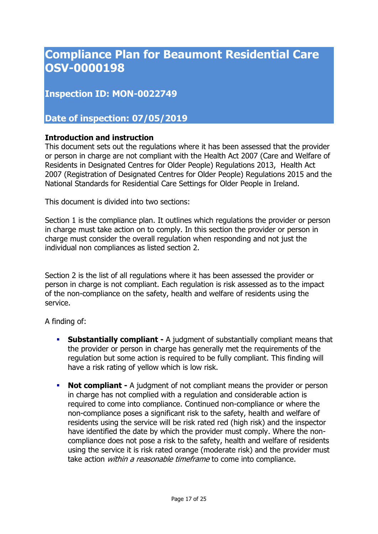# **Compliance Plan for Beaumont Residential Care OSV-0000198**

**Inspection ID: MON-0022749**

**Date of inspection: 07/05/2019**

#### **Introduction and instruction**

This document sets out the regulations where it has been assessed that the provider or person in charge are not compliant with the Health Act 2007 (Care and Welfare of Residents in Designated Centres for Older People) Regulations 2013, Health Act 2007 (Registration of Designated Centres for Older People) Regulations 2015 and the National Standards for Residential Care Settings for Older People in Ireland.

This document is divided into two sections:

Section 1 is the compliance plan. It outlines which regulations the provider or person in charge must take action on to comply. In this section the provider or person in charge must consider the overall regulation when responding and not just the individual non compliances as listed section 2.

Section 2 is the list of all regulations where it has been assessed the provider or person in charge is not compliant. Each regulation is risk assessed as to the impact of the non-compliance on the safety, health and welfare of residents using the service.

A finding of:

- **Substantially compliant -** A judgment of substantially compliant means that the provider or person in charge has generally met the requirements of the regulation but some action is required to be fully compliant. This finding will have a risk rating of yellow which is low risk.
- **Not compliant -** A judgment of not compliant means the provider or person in charge has not complied with a regulation and considerable action is required to come into compliance. Continued non-compliance or where the non-compliance poses a significant risk to the safety, health and welfare of residents using the service will be risk rated red (high risk) and the inspector have identified the date by which the provider must comply. Where the noncompliance does not pose a risk to the safety, health and welfare of residents using the service it is risk rated orange (moderate risk) and the provider must take action *within a reasonable timeframe* to come into compliance.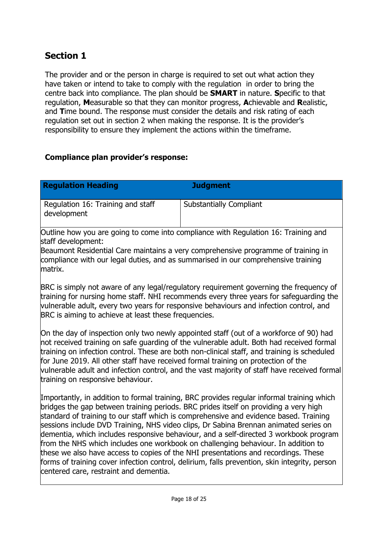# **Section 1**

The provider and or the person in charge is required to set out what action they have taken or intend to take to comply with the regulation in order to bring the centre back into compliance. The plan should be **SMART** in nature. **S**pecific to that regulation, **M**easurable so that they can monitor progress, **A**chievable and **R**ealistic, and **T**ime bound. The response must consider the details and risk rating of each regulation set out in section 2 when making the response. It is the provider's responsibility to ensure they implement the actions within the timeframe.

#### **Compliance plan provider's response:**

| <b>Regulation Heading</b>                        | <b>Judgment</b>                |
|--------------------------------------------------|--------------------------------|
| Regulation 16: Training and staff<br>development | <b>Substantially Compliant</b> |

Outline how you are going to come into compliance with Regulation 16: Training and staff development:

Beaumont Residential Care maintains a very comprehensive programme of training in compliance with our legal duties, and as summarised in our comprehensive training matrix.

BRC is simply not aware of any legal/regulatory requirement governing the frequency of training for nursing home staff. NHI recommends every three years for safeguarding the vulnerable adult, every two years for responsive behaviours and infection control, and BRC is aiming to achieve at least these frequencies.

On the day of inspection only two newly appointed staff (out of a workforce of 90) had not received training on safe guarding of the vulnerable adult. Both had received formal training on infection control. These are both non-clinical staff, and training is scheduled for June 2019. All other staff have received formal training on protection of the vulnerable adult and infection control, and the vast majority of staff have received formal training on responsive behaviour.

Importantly, in addition to formal training, BRC provides regular informal training which bridges the gap between training periods. BRC prides itself on providing a very high standard of training to our staff which is comprehensive and evidence based. Training sessions include DVD Training, NHS video clips, Dr Sabina Brennan animated series on dementia, which includes responsive behaviour, and a self-directed 3 workbook program from the NHS which includes one workbook on challenging behaviour. In addition to these we also have access to copies of the NHI presentations and recordings. These forms of training cover infection control, delirium, falls prevention, skin integrity, person centered care, restraint and dementia.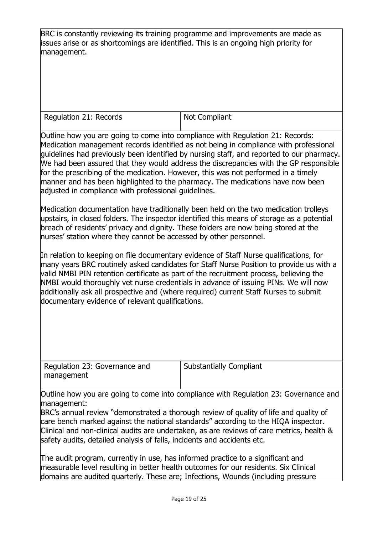BRC is constantly reviewing its training programme and improvements are made as issues arise or as shortcomings are identified. This is an ongoing high priority for management.

Regulation 21: Records | Not Compliant

Outline how you are going to come into compliance with Regulation 21: Records: Medication management records identified as not being in compliance with professional guidelines had previously been identified by nursing staff, and reported to our pharmacy. We had been assured that they would address the discrepancies with the GP responsible for the prescribing of the medication. However, this was not performed in a timely manner and has been highlighted to the pharmacy. The medications have now been adjusted in compliance with professional guidelines.

Medication documentation have traditionally been held on the two medication trolleys upstairs, in closed folders. The inspector identified this means of storage as a potential breach of residents' privacy and dignity. These folders are now being stored at the nurses' station where they cannot be accessed by other personnel.

In relation to keeping on file documentary evidence of Staff Nurse qualifications, for many years BRC routinely asked candidates for Staff Nurse Position to provide us with a valid NMBI PIN retention certificate as part of the recruitment process, believing the NMBI would thoroughly vet nurse credentials in advance of issuing PINs. We will now additionally ask all prospective and (where required) current Staff Nurses to submit documentary evidence of relevant qualifications.

Regulation 23: Governance and management

Substantially Compliant

Outline how you are going to come into compliance with Regulation 23: Governance and management:

BRC's annual review "demonstrated a thorough review of quality of life and quality of care bench marked against the national standards" according to the HIQA inspector. Clinical and non-clinical audits are undertaken, as are reviews of care metrics, health & safety audits, detailed analysis of falls, incidents and accidents etc.

The audit program, currently in use, has informed practice to a significant and measurable level resulting in better health outcomes for our residents. Six Clinical domains are audited quarterly. These are; Infections, Wounds (including pressure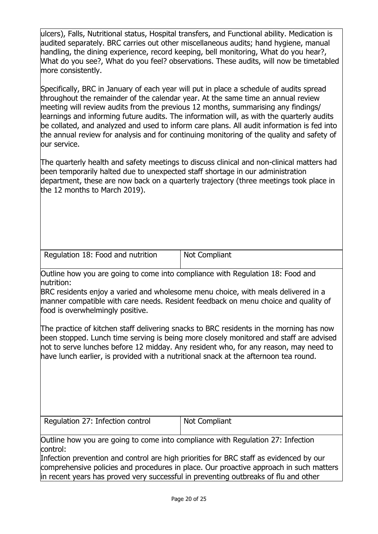ulcers), Falls, Nutritional status, Hospital transfers, and Functional ability. Medication is audited separately. BRC carries out other miscellaneous audits; hand hygiene, manual handling, the dining experience, record keeping, bell monitoring, What do you hear?, What do you see?, What do you feel? observations. These audits, will now be timetabled more consistently.

Specifically, BRC in January of each year will put in place a schedule of audits spread throughout the remainder of the calendar year. At the same time an annual review meeting will review audits from the previous 12 months, summarising any findings/ learnings and informing future audits. The information will, as with the quarterly audits be collated, and analyzed and used to inform care plans. All audit information is fed into the annual review for analysis and for continuing monitoring of the quality and safety of our service.

The quarterly health and safety meetings to discuss clinical and non-clinical matters had been temporarily halted due to unexpected staff shortage in our administration department, these are now back on a quarterly trajectory (three meetings took place in the 12 months to March 2019).

Regulation 18: Food and nutrition  $\vert$  Not Compliant

Outline how you are going to come into compliance with Regulation 18: Food and nutrition:

BRC residents enjoy a varied and wholesome menu choice, with meals delivered in a manner compatible with care needs. Resident feedback on menu choice and quality of food is overwhelmingly positive.

The practice of kitchen staff delivering snacks to BRC residents in the morning has now been stopped. Lunch time serving is being more closely monitored and staff are advised not to serve lunches before 12 midday. Any resident who, for any reason, may need to have lunch earlier, is provided with a nutritional snack at the afternoon tea round.

Regulation 27: Infection control  $\vert$  Not Compliant

Outline how you are going to come into compliance with Regulation 27: Infection control:

Infection prevention and control are high priorities for BRC staff as evidenced by our comprehensive policies and procedures in place. Our proactive approach in such matters in recent years has proved very successful in preventing outbreaks of flu and other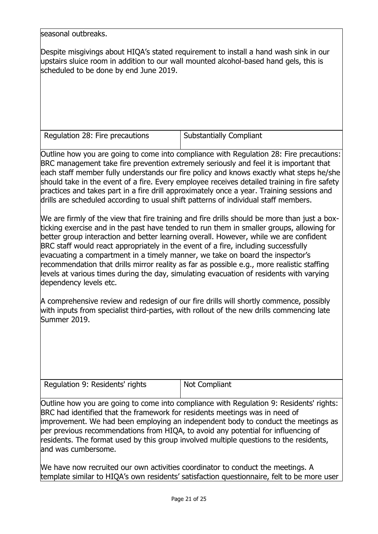seasonal outbreaks.

Despite misgivings about HIQA's stated requirement to install a hand wash sink in our upstairs sluice room in addition to our wall mounted alcohol-based hand gels, this is scheduled to be done by end June 2019.

Regulation 28: Fire precautions  $\vert$  Substantially Compliant

Outline how you are going to come into compliance with Regulation 28: Fire precautions: BRC management take fire prevention extremely seriously and feel it is important that each staff member fully understands our fire policy and knows exactly what steps he/she should take in the event of a fire. Every employee receives detailed training in fire safety practices and takes part in a fire drill approximately once a year. Training sessions and drills are scheduled according to usual shift patterns of individual staff members.

We are firmly of the view that fire training and fire drills should be more than just a boxticking exercise and in the past have tended to run them in smaller groups, allowing for better group interaction and better learning overall. However, while we are confident BRC staff would react appropriately in the event of a fire, including successfully evacuating a compartment in a timely manner, we take on board the inspector's recommendation that drills mirror reality as far as possible e.g., more realistic staffing levels at various times during the day, simulating evacuation of residents with varying dependency levels etc.

A comprehensive review and redesign of our fire drills will shortly commence, possibly with inputs from specialist third-parties, with rollout of the new drills commencing late Summer 2019.

| Regulation 9: Residents' rights | Not Compliant |
|---------------------------------|---------------|
|                                 |               |

Outline how you are going to come into compliance with Regulation 9: Residents' rights: BRC had identified that the framework for residents meetings was in need of improvement. We had been employing an independent body to conduct the meetings as per previous recommendations from HIQA, to avoid any potential for influencing of residents. The format used by this group involved multiple questions to the residents, and was cumbersome.

We have now recruited our own activities coordinator to conduct the meetings. A template similar to HIQA's own residents' satisfaction questionnaire, felt to be more user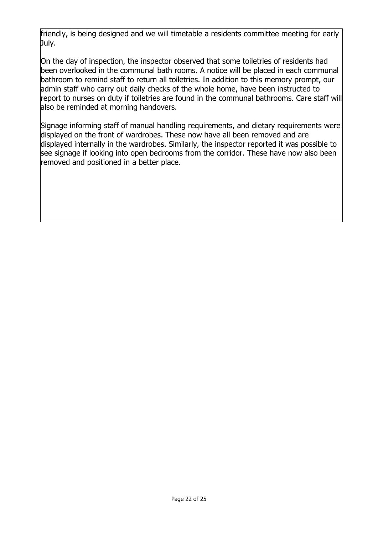friendly, is being designed and we will timetable a residents committee meeting for early July.

On the day of inspection, the inspector observed that some toiletries of residents had been overlooked in the communal bath rooms. A notice will be placed in each communal bathroom to remind staff to return all toiletries. In addition to this memory prompt, our admin staff who carry out daily checks of the whole home, have been instructed to report to nurses on duty if toiletries are found in the communal bathrooms. Care staff will also be reminded at morning handovers.

Signage informing staff of manual handling requirements, and dietary requirements were displayed on the front of wardrobes. These now have all been removed and are displayed internally in the wardrobes. Similarly, the inspector reported it was possible to see signage if looking into open bedrooms from the corridor. These have now also been removed and positioned in a better place.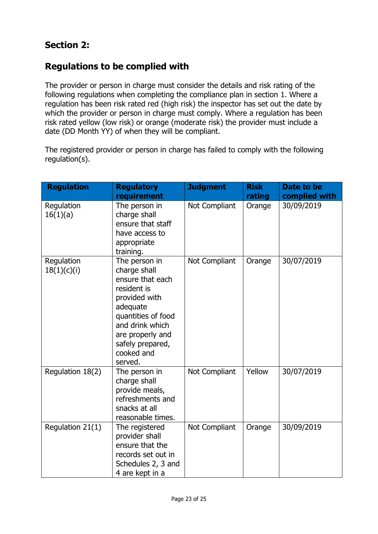## **Section 2:**

## **Regulations to be complied with**

The provider or person in charge must consider the details and risk rating of the following regulations when completing the compliance plan in section 1. Where a regulation has been risk rated red (high risk) the inspector has set out the date by which the provider or person in charge must comply. Where a regulation has been risk rated yellow (low risk) or orange (moderate risk) the provider must include a date (DD Month YY) of when they will be compliant.

The registered provider or person in charge has failed to comply with the following regulation(s).

| <b>Regulation</b>         | <b>Regulatory</b><br>requirement                                                                                                                                                                        | <b>Judgment</b> | <b>Risk</b><br>rating | Date to be<br>complied with |
|---------------------------|---------------------------------------------------------------------------------------------------------------------------------------------------------------------------------------------------------|-----------------|-----------------------|-----------------------------|
| Regulation<br>16(1)(a)    | The person in<br>charge shall<br>ensure that staff<br>have access to<br>appropriate<br>training.                                                                                                        | Not Compliant   | Orange                | 30/09/2019                  |
| Regulation<br>18(1)(c)(i) | The person in<br>charge shall<br>ensure that each<br>resident is<br>provided with<br>adequate<br>quantities of food<br>and drink which<br>are properly and<br>safely prepared,<br>cooked and<br>served. | Not Compliant   | Orange                | 30/07/2019                  |
| Regulation 18(2)          | The person in<br>charge shall<br>provide meals,<br>refreshments and<br>snacks at all<br>reasonable times.                                                                                               | Not Compliant   | Yellow                | 30/07/2019                  |
| Regulation 21(1)          | The registered<br>provider shall<br>ensure that the<br>records set out in<br>Schedules 2, 3 and<br>4 are kept in a                                                                                      | Not Compliant   | Orange                | 30/09/2019                  |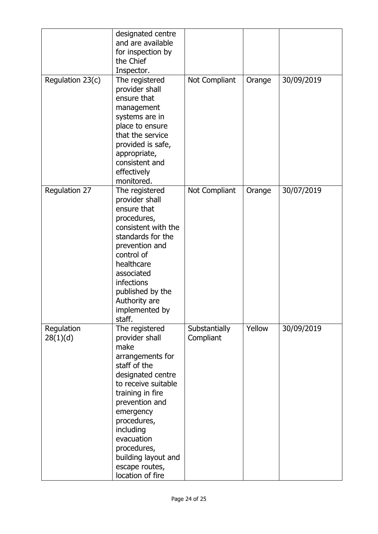|                        | designated centre<br>and are available<br>for inspection by<br>the Chief<br>Inspector.                                                                                                                                                                                                            |                            |        |            |
|------------------------|---------------------------------------------------------------------------------------------------------------------------------------------------------------------------------------------------------------------------------------------------------------------------------------------------|----------------------------|--------|------------|
| Regulation 23(c)       | The registered<br>provider shall<br>ensure that<br>management<br>systems are in<br>place to ensure<br>that the service<br>provided is safe,<br>appropriate,<br>consistent and<br>effectively<br>monitored.                                                                                        | Not Compliant              | Orange | 30/09/2019 |
| Regulation 27          | The registered<br>provider shall<br>ensure that<br>procedures,<br>consistent with the<br>standards for the<br>prevention and<br>control of<br>healthcare<br>associated<br>infections<br>published by the<br>Authority are<br>implemented by<br>staff.                                             | Not Compliant              | Orange | 30/07/2019 |
| Regulation<br>28(1)(d) | The registered<br>provider shall<br>make<br>arrangements for<br>staff of the<br>designated centre<br>to receive suitable<br>training in fire<br>prevention and<br>emergency<br>procedures,<br>including<br>evacuation<br>procedures,<br>building layout and<br>escape routes,<br>location of fire | Substantially<br>Compliant | Yellow | 30/09/2019 |